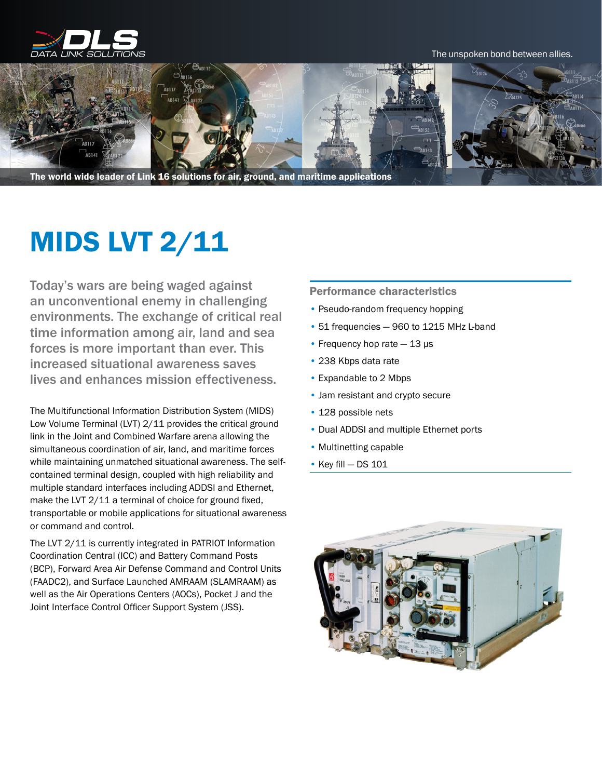

The unspoken bond between allies.



The world wide leader of Link 16 solutions for air, ground, and maritime applications

## MIDS LVT 2/11

Today's wars are being waged against an unconventional enemy in challenging environments. The exchange of critical real time information among air, land and sea forces is more important than ever. This increased situational awareness saves lives and enhances mission effectiveness.

The Multifunctional Information Distribution System (MIDS) Low Volume Terminal (LVT) 2/11 provides the critical ground link in the Joint and Combined Warfare arena allowing the simultaneous coordination of air, land, and maritime forces while maintaining unmatched situational awareness. The selfcontained terminal design, coupled with high reliability and multiple standard interfaces including ADDSI and Ethernet, make the LVT 2/11 a terminal of choice for ground fixed, transportable or mobile applications for situational awareness or command and control.

The LVT 2/11 is currently integrated in PATRIOT Information Coordination Central (ICC) and Battery Command Posts (BCP), Forward Area Air Defense Command and Control Units (FAADC2), and Surface Launched AMRAAM (SLAMRAAM) as well as the Air Operations Centers (AOCs), Pocket J and the Joint Interface Control Officer Support System (JSS).

## Performance characteristics

- Pseudo-random frequency hopping
- 51 frequencies 960 to 1215 MHz L-band
- Frequency hop rate 13 μs
- 238 Kbps data rate
- Expandable to 2 Mbps
- Jam resistant and crypto secure
- 128 possible nets
- Dual ADDSI and multiple Ethernet ports
- Multinetting capable
- Key fill DS 101